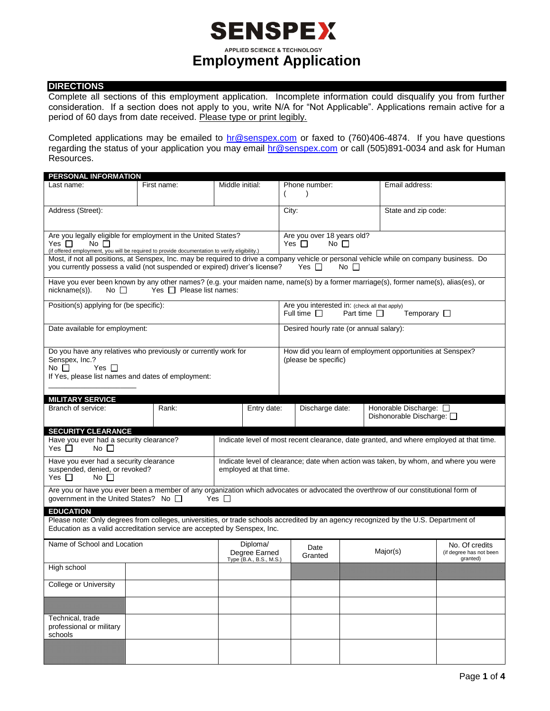## **SENSPEX APPLIED SCIENCE & TECHNOLOGY Employment Application**

### **DIRECTIONS**

Complete all sections of this employment application. Incomplete information could disqualify you from further consideration. If a section does not apply to you, write N/A for "Not Applicable". Applications remain active for a period of 60 days from date received. Please type or print legibly.

Completed applications may be emailed to **hr@senspex.com** or faxed to (760)406-4874. If you have questions regarding the status of your application you may email [hr@senspex.com](mailto:hr@senspex.com) or call (505)891-0034 and ask for Human Resources.

| <b>PERSONAL INFORMATION</b>                                                                                                               |                               |                 |                         |                                                                                      |                                                                   |                  |                                                                                         |                         |  |
|-------------------------------------------------------------------------------------------------------------------------------------------|-------------------------------|-----------------|-------------------------|--------------------------------------------------------------------------------------|-------------------------------------------------------------------|------------------|-----------------------------------------------------------------------------------------|-------------------------|--|
| Last name:                                                                                                                                | First name:                   | Middle initial: |                         |                                                                                      | Phone number:                                                     |                  | Email address:                                                                          |                         |  |
|                                                                                                                                           |                               |                 |                         |                                                                                      |                                                                   |                  |                                                                                         |                         |  |
|                                                                                                                                           |                               |                 |                         |                                                                                      |                                                                   |                  |                                                                                         |                         |  |
| Address (Street):                                                                                                                         |                               |                 |                         | City:                                                                                |                                                                   |                  | State and zip code:                                                                     |                         |  |
|                                                                                                                                           |                               |                 |                         |                                                                                      |                                                                   |                  |                                                                                         |                         |  |
| Are you legally eligible for employment in the United States?                                                                             |                               |                 |                         | Are you over 18 years old?                                                           |                                                                   |                  |                                                                                         |                         |  |
| Yes $\Box$<br>No <sub>l</sub>                                                                                                             |                               |                 |                         |                                                                                      | Yes $\Box$<br>$No$ $\Box$                                         |                  |                                                                                         |                         |  |
| (if offered employment, you will be required to provide documentation to verify eligibility.)                                             |                               |                 |                         |                                                                                      |                                                                   |                  |                                                                                         |                         |  |
| Most, if not all positions, at Senspex, Inc. may be required to drive a company vehicle or personal vehicle while on company business. Do |                               |                 |                         |                                                                                      |                                                                   |                  |                                                                                         |                         |  |
| you currently possess a valid (not suspended or expired) driver's license?                                                                | Yes $\Box$<br>No <sub>1</sub> |                 |                         |                                                                                      |                                                                   |                  |                                                                                         |                         |  |
| Have you ever been known by any other names? (e.g. your maiden name, name(s) by a former marriage(s), former name(s), alias(es), or       |                               |                 |                         |                                                                                      |                                                                   |                  |                                                                                         |                         |  |
| nickname(s)).<br>No $\Box$                                                                                                                | Yes $\Box$ Please list names: |                 |                         |                                                                                      |                                                                   |                  |                                                                                         |                         |  |
|                                                                                                                                           |                               |                 |                         |                                                                                      |                                                                   |                  |                                                                                         |                         |  |
| Position(s) applying for (be specific):                                                                                                   |                               |                 |                         |                                                                                      | Are you interested in: (check all that apply)<br>Full time $\Box$ | Part time $\Box$ | Temporary $\Box$                                                                        |                         |  |
|                                                                                                                                           |                               |                 |                         |                                                                                      |                                                                   |                  |                                                                                         |                         |  |
| Date available for employment:                                                                                                            |                               |                 |                         |                                                                                      | Desired hourly rate (or annual salary):                           |                  |                                                                                         |                         |  |
|                                                                                                                                           |                               |                 |                         |                                                                                      |                                                                   |                  |                                                                                         |                         |  |
|                                                                                                                                           |                               |                 |                         |                                                                                      |                                                                   |                  |                                                                                         |                         |  |
| Do you have any relatives who previously or currently work for                                                                            |                               |                 |                         |                                                                                      |                                                                   |                  | How did you learn of employment opportunities at Senspex?                               |                         |  |
| Senspex, Inc.?                                                                                                                            |                               |                 |                         |                                                                                      | (please be specific)                                              |                  |                                                                                         |                         |  |
| No $\Box$<br>Yes $\Box$                                                                                                                   |                               |                 |                         |                                                                                      |                                                                   |                  |                                                                                         |                         |  |
| If Yes, please list names and dates of employment:                                                                                        |                               |                 |                         |                                                                                      |                                                                   |                  |                                                                                         |                         |  |
|                                                                                                                                           |                               |                 |                         |                                                                                      |                                                                   |                  |                                                                                         |                         |  |
| <b>MILITARY SERVICE</b>                                                                                                                   |                               |                 |                         |                                                                                      |                                                                   |                  |                                                                                         |                         |  |
| Branch of service:                                                                                                                        | Rank:                         |                 | Entry date:             |                                                                                      | Honorable Discharge: □<br>Discharge date:                         |                  |                                                                                         |                         |  |
|                                                                                                                                           |                               |                 |                         |                                                                                      |                                                                   |                  | Dishonorable Discharge: □                                                               |                         |  |
|                                                                                                                                           |                               |                 |                         |                                                                                      |                                                                   |                  |                                                                                         |                         |  |
| <b>SECURITY CLEARANCE</b>                                                                                                                 |                               |                 |                         |                                                                                      |                                                                   |                  |                                                                                         |                         |  |
| Have you ever had a security clearance?                                                                                                   |                               |                 |                         |                                                                                      |                                                                   |                  | Indicate level of most recent clearance, date granted, and where employed at that time. |                         |  |
| Yes $\Box$<br>No $\Box$                                                                                                                   |                               |                 |                         |                                                                                      |                                                                   |                  |                                                                                         |                         |  |
| Have you ever had a security clearance                                                                                                    |                               |                 |                         | Indicate level of clearance; date when action was taken, by whom, and where you were |                                                                   |                  |                                                                                         |                         |  |
| suspended, denied, or revoked?                                                                                                            |                               |                 | employed at that time.  |                                                                                      |                                                                   |                  |                                                                                         |                         |  |
| Yes $\Box$<br>No $\Box$                                                                                                                   |                               |                 |                         |                                                                                      |                                                                   |                  |                                                                                         |                         |  |
|                                                                                                                                           |                               |                 |                         |                                                                                      |                                                                   |                  |                                                                                         |                         |  |
| Are you or have you ever been a member of any organization which advocates or advocated the overthrow of our constitutional form of       |                               |                 |                         |                                                                                      |                                                                   |                  |                                                                                         |                         |  |
| government in the United States? No □                                                                                                     |                               | Yes $\Box$      |                         |                                                                                      |                                                                   |                  |                                                                                         |                         |  |
| <b>EDUCATION</b>                                                                                                                          |                               |                 |                         |                                                                                      |                                                                   |                  |                                                                                         |                         |  |
| Please note: Only degrees from colleges, universities, or trade schools accredited by an agency recognized by the U.S. Department of      |                               |                 |                         |                                                                                      |                                                                   |                  |                                                                                         |                         |  |
| Education as a valid accreditation service are accepted by Senspex, Inc.                                                                  |                               |                 |                         |                                                                                      |                                                                   |                  |                                                                                         |                         |  |
|                                                                                                                                           |                               |                 |                         |                                                                                      |                                                                   |                  |                                                                                         |                         |  |
| Name of School and Location                                                                                                               |                               |                 | Diploma/                |                                                                                      | Date                                                              |                  |                                                                                         | No. Of credits          |  |
|                                                                                                                                           |                               |                 | Degree Earned           |                                                                                      | Granted                                                           |                  | Major(s)                                                                                | (if degree has not been |  |
|                                                                                                                                           |                               |                 | Type (B.A., B.S., M.S.) |                                                                                      |                                                                   |                  |                                                                                         | granted)                |  |
| High school                                                                                                                               |                               |                 |                         |                                                                                      |                                                                   |                  |                                                                                         |                         |  |
|                                                                                                                                           |                               |                 |                         |                                                                                      |                                                                   |                  |                                                                                         |                         |  |
| <b>College or University</b>                                                                                                              |                               |                 |                         |                                                                                      |                                                                   |                  |                                                                                         |                         |  |
|                                                                                                                                           |                               |                 |                         |                                                                                      |                                                                   |                  |                                                                                         |                         |  |
|                                                                                                                                           |                               |                 |                         |                                                                                      |                                                                   |                  |                                                                                         |                         |  |
|                                                                                                                                           |                               |                 |                         |                                                                                      |                                                                   |                  |                                                                                         |                         |  |
| Technical, trade                                                                                                                          |                               |                 |                         |                                                                                      |                                                                   |                  |                                                                                         |                         |  |
| professional or military                                                                                                                  |                               |                 |                         |                                                                                      |                                                                   |                  |                                                                                         |                         |  |
| schools                                                                                                                                   |                               |                 |                         |                                                                                      |                                                                   |                  |                                                                                         |                         |  |
|                                                                                                                                           |                               |                 |                         |                                                                                      |                                                                   |                  |                                                                                         |                         |  |
|                                                                                                                                           |                               |                 |                         |                                                                                      |                                                                   |                  |                                                                                         |                         |  |
|                                                                                                                                           |                               |                 |                         |                                                                                      |                                                                   |                  |                                                                                         |                         |  |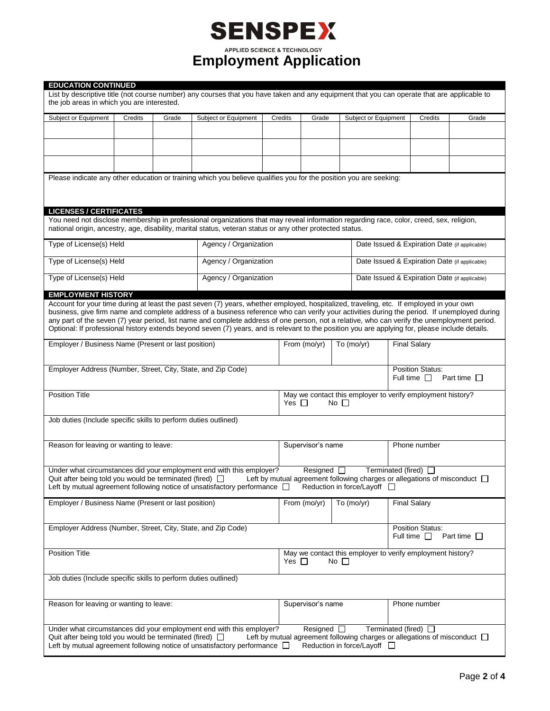|                                                                 |                                                  |                                         | <b>SENSPEX</b>                                                                                                                                                                                                                                                                                                                                                                                                                                                                                                                                                                             |         |                                                                                       |                                               |                                                                                                             |                                               |  |  |
|-----------------------------------------------------------------|--------------------------------------------------|-----------------------------------------|--------------------------------------------------------------------------------------------------------------------------------------------------------------------------------------------------------------------------------------------------------------------------------------------------------------------------------------------------------------------------------------------------------------------------------------------------------------------------------------------------------------------------------------------------------------------------------------------|---------|---------------------------------------------------------------------------------------|-----------------------------------------------|-------------------------------------------------------------------------------------------------------------|-----------------------------------------------|--|--|
|                                                                 |                                                  |                                         | <b>APPLIED SCIENCE &amp; TECHNOLOGY</b><br><b>Employment Application</b>                                                                                                                                                                                                                                                                                                                                                                                                                                                                                                                   |         |                                                                                       |                                               |                                                                                                             |                                               |  |  |
| <b>EDUCATION CONTINUED</b>                                      |                                                  |                                         |                                                                                                                                                                                                                                                                                                                                                                                                                                                                                                                                                                                            |         |                                                                                       |                                               |                                                                                                             |                                               |  |  |
| the job areas in which you are interested.                      |                                                  |                                         | List by descriptive title (not course number) any courses that you have taken and any equipment that you can operate that are applicable to                                                                                                                                                                                                                                                                                                                                                                                                                                                |         |                                                                                       |                                               |                                                                                                             |                                               |  |  |
| Subject or Equipment                                            | Credits                                          | Grade                                   | Subject or Equipment                                                                                                                                                                                                                                                                                                                                                                                                                                                                                                                                                                       | Credits | Grade                                                                                 | Subject or Equipment                          | <b>Credits</b>                                                                                              | Grade                                         |  |  |
|                                                                 |                                                  |                                         |                                                                                                                                                                                                                                                                                                                                                                                                                                                                                                                                                                                            |         |                                                                                       |                                               |                                                                                                             |                                               |  |  |
|                                                                 |                                                  |                                         |                                                                                                                                                                                                                                                                                                                                                                                                                                                                                                                                                                                            |         |                                                                                       |                                               |                                                                                                             |                                               |  |  |
|                                                                 |                                                  |                                         | Please indicate any other education or training which you believe qualifies you for the position you are seeking:                                                                                                                                                                                                                                                                                                                                                                                                                                                                          |         |                                                                                       |                                               |                                                                                                             |                                               |  |  |
|                                                                 |                                                  |                                         |                                                                                                                                                                                                                                                                                                                                                                                                                                                                                                                                                                                            |         |                                                                                       |                                               |                                                                                                             |                                               |  |  |
| <b>LICENSES / CERTIFICATES</b>                                  |                                                  |                                         |                                                                                                                                                                                                                                                                                                                                                                                                                                                                                                                                                                                            |         |                                                                                       |                                               |                                                                                                             |                                               |  |  |
|                                                                 |                                                  |                                         | You need not disclose membership in professional organizations that may reveal information regarding race, color, creed, sex, religion,<br>national origin, ancestry, age, disability, marital status, veteran status or any other protected status.                                                                                                                                                                                                                                                                                                                                       |         |                                                                                       |                                               |                                                                                                             |                                               |  |  |
|                                                                 | Type of License(s) Held<br>Agency / Organization |                                         |                                                                                                                                                                                                                                                                                                                                                                                                                                                                                                                                                                                            |         |                                                                                       |                                               |                                                                                                             | Date Issued & Expiration Date (if applicable) |  |  |
| Type of License(s) Held                                         |                                                  |                                         | Agency / Organization                                                                                                                                                                                                                                                                                                                                                                                                                                                                                                                                                                      |         |                                                                                       |                                               | Date Issued & Expiration Date (if applicable)                                                               |                                               |  |  |
| Type of License(s) Held                                         |                                                  |                                         | Agency / Organization                                                                                                                                                                                                                                                                                                                                                                                                                                                                                                                                                                      |         |                                                                                       | Date Issued & Expiration Date (if applicable) |                                                                                                             |                                               |  |  |
| <b>EMPLOYMENT HISTORY</b>                                       |                                                  |                                         |                                                                                                                                                                                                                                                                                                                                                                                                                                                                                                                                                                                            |         |                                                                                       |                                               |                                                                                                             |                                               |  |  |
|                                                                 |                                                  |                                         | Account for your time during at least the past seven (7) years, whether employed, hospitalized, traveling, etc. If employed in your own<br>business, give firm name and complete address of a business reference who can verify your activities during the period. If unemployed during<br>any part of the seven (7) year period, list name and complete address of one person, not a relative, who can verify the unemployment period.<br>Optional: If professional history extends beyond seven (7) years, and is relevant to the position you are applying for, please include details. |         |                                                                                       |                                               |                                                                                                             |                                               |  |  |
| Employer / Business Name (Present or last position)             |                                                  |                                         |                                                                                                                                                                                                                                                                                                                                                                                                                                                                                                                                                                                            |         | From (mo/yr)                                                                          | To $(mo/yr)$                                  | <b>Final Salary</b>                                                                                         |                                               |  |  |
| Employer Address (Number, Street, City, State, and Zip Code)    |                                                  |                                         |                                                                                                                                                                                                                                                                                                                                                                                                                                                                                                                                                                                            |         | <b>Position Status:</b><br>Full time $\Box$<br>Part time $\Box$                       |                                               |                                                                                                             |                                               |  |  |
| <b>Position Title</b>                                           |                                                  |                                         |                                                                                                                                                                                                                                                                                                                                                                                                                                                                                                                                                                                            |         | May we contact this employer to verify employment history?<br>Yes $\Box$<br>No $\Box$ |                                               |                                                                                                             |                                               |  |  |
| Job duties (Include specific skills to perform duties outlined) |                                                  |                                         |                                                                                                                                                                                                                                                                                                                                                                                                                                                                                                                                                                                            |         |                                                                                       |                                               |                                                                                                             |                                               |  |  |
| Reason for leaving or wanting to leave:                         |                                                  |                                         |                                                                                                                                                                                                                                                                                                                                                                                                                                                                                                                                                                                            |         | Supervisor's name                                                                     |                                               | Phone number                                                                                                |                                               |  |  |
| Quit after being told you would be terminated (fired) $\Box$    |                                                  |                                         | Under what circumstances did your employment end with this employer?                                                                                                                                                                                                                                                                                                                                                                                                                                                                                                                       |         | Resigned $\square$                                                                    |                                               | Terminated (fired) $\Box$<br>Left by mutual agreement following charges or allegations of misconduct $\Box$ |                                               |  |  |
| Employer / Business Name (Present or last position)             |                                                  |                                         | Left by mutual agreement following notice of unsatisfactory performance $\Box$                                                                                                                                                                                                                                                                                                                                                                                                                                                                                                             |         | From (mo/yr)                                                                          | Reduction in force/Layoff □<br>To (mo/yr)     | <b>Final Salary</b>                                                                                         |                                               |  |  |
|                                                                 |                                                  |                                         |                                                                                                                                                                                                                                                                                                                                                                                                                                                                                                                                                                                            |         |                                                                                       |                                               |                                                                                                             |                                               |  |  |
| Employer Address (Number, Street, City, State, and Zip Code)    |                                                  |                                         |                                                                                                                                                                                                                                                                                                                                                                                                                                                                                                                                                                                            |         |                                                                                       |                                               | Position Status:<br>Full time $\Box$                                                                        | Part time $\Box$                              |  |  |
| <b>Position Title</b>                                           |                                                  |                                         |                                                                                                                                                                                                                                                                                                                                                                                                                                                                                                                                                                                            |         | May we contact this employer to verify employment history?<br>Yes $\Box$<br>No $\Box$ |                                               |                                                                                                             |                                               |  |  |
| Job duties (Include specific skills to perform duties outlined) |                                                  |                                         |                                                                                                                                                                                                                                                                                                                                                                                                                                                                                                                                                                                            |         |                                                                                       |                                               |                                                                                                             |                                               |  |  |
|                                                                 |                                                  | Reason for leaving or wanting to leave: |                                                                                                                                                                                                                                                                                                                                                                                                                                                                                                                                                                                            |         | Supervisor's name                                                                     |                                               | Phone number                                                                                                |                                               |  |  |
|                                                                 |                                                  |                                         |                                                                                                                                                                                                                                                                                                                                                                                                                                                                                                                                                                                            |         |                                                                                       |                                               |                                                                                                             |                                               |  |  |
|                                                                 |                                                  |                                         | Under what circumstances did your employment end with this employer?                                                                                                                                                                                                                                                                                                                                                                                                                                                                                                                       |         | Resigned $\square$                                                                    |                                               | Terminated (fired) $\Box$                                                                                   |                                               |  |  |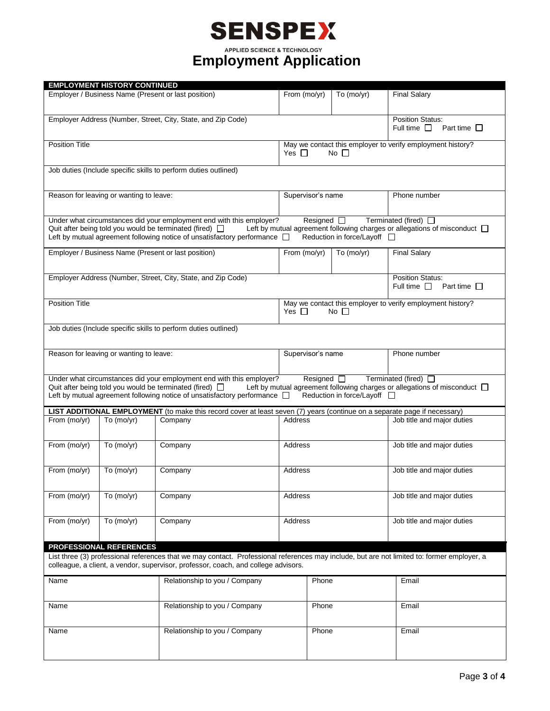# **SENSPEX**

**Employment Application** 

|                                                                                                                                             | <b>EMPLOYMENT HISTORY CONTINUED</b>                 |                                                                                                                           |                   |                    |                             |                                                                                |
|---------------------------------------------------------------------------------------------------------------------------------------------|-----------------------------------------------------|---------------------------------------------------------------------------------------------------------------------------|-------------------|--------------------|-----------------------------|--------------------------------------------------------------------------------|
|                                                                                                                                             | Employer / Business Name (Present or last position) |                                                                                                                           |                   | From (mo/yr)       | To $(mo/yr)$                | <b>Final Salary</b>                                                            |
|                                                                                                                                             |                                                     |                                                                                                                           |                   |                    |                             |                                                                                |
|                                                                                                                                             |                                                     |                                                                                                                           |                   |                    |                             |                                                                                |
| Employer Address (Number, Street, City, State, and Zip Code)                                                                                |                                                     |                                                                                                                           |                   |                    |                             | <b>Position Status:</b><br>Full time $\Box$<br>Part time $\Box$                |
|                                                                                                                                             |                                                     |                                                                                                                           |                   |                    |                             |                                                                                |
| <b>Position Title</b>                                                                                                                       |                                                     |                                                                                                                           |                   |                    |                             | May we contact this employer to verify employment history?                     |
|                                                                                                                                             |                                                     |                                                                                                                           | Yes $\Box$        |                    | No $\Box$                   |                                                                                |
|                                                                                                                                             |                                                     |                                                                                                                           |                   |                    |                             |                                                                                |
|                                                                                                                                             |                                                     | Job duties (Include specific skills to perform duties outlined)                                                           |                   |                    |                             |                                                                                |
|                                                                                                                                             |                                                     |                                                                                                                           |                   |                    |                             |                                                                                |
|                                                                                                                                             | Reason for leaving or wanting to leave:             |                                                                                                                           |                   |                    |                             | Phone number                                                                   |
|                                                                                                                                             |                                                     |                                                                                                                           | Supervisor's name |                    |                             |                                                                                |
|                                                                                                                                             |                                                     |                                                                                                                           |                   |                    |                             |                                                                                |
|                                                                                                                                             |                                                     | Under what circumstances did your employment end with this employer?                                                      |                   | Resigned $\Box$    |                             | Terminated (fired) $\Box$                                                      |
|                                                                                                                                             |                                                     | Quit after being told you would be terminated (fired) $\Box$                                                              |                   |                    |                             | Left by mutual agreement following charges or allegations of misconduct $\Box$ |
|                                                                                                                                             |                                                     | Left by mutual agreement following notice of unsatisfactory performance $\Box$                                            |                   |                    | Reduction in force/Layoff □ |                                                                                |
|                                                                                                                                             |                                                     | Employer / Business Name (Present or last position)                                                                       | From (mo/yr)      |                    | To (mo/yr)                  | <b>Final Salary</b>                                                            |
|                                                                                                                                             |                                                     |                                                                                                                           |                   |                    |                             |                                                                                |
|                                                                                                                                             |                                                     |                                                                                                                           |                   |                    |                             |                                                                                |
|                                                                                                                                             |                                                     | Employer Address (Number, Street, City, State, and Zip Code)                                                              |                   |                    |                             | <b>Position Status:</b>                                                        |
|                                                                                                                                             |                                                     |                                                                                                                           |                   |                    |                             | Full time $\Box$<br>Part time $\Box$                                           |
| <b>Position Title</b>                                                                                                                       |                                                     |                                                                                                                           |                   |                    |                             | May we contact this employer to verify employment history?                     |
|                                                                                                                                             |                                                     |                                                                                                                           | Yes $\Box$        |                    | No $\Box$                   |                                                                                |
|                                                                                                                                             |                                                     |                                                                                                                           |                   |                    |                             |                                                                                |
|                                                                                                                                             |                                                     | Job duties (Include specific skills to perform duties outlined)                                                           |                   |                    |                             |                                                                                |
|                                                                                                                                             |                                                     |                                                                                                                           |                   |                    |                             |                                                                                |
|                                                                                                                                             |                                                     |                                                                                                                           |                   |                    |                             |                                                                                |
|                                                                                                                                             | Reason for leaving or wanting to leave:             |                                                                                                                           | Supervisor's name |                    |                             | Phone number                                                                   |
|                                                                                                                                             |                                                     |                                                                                                                           |                   |                    |                             |                                                                                |
|                                                                                                                                             |                                                     | Under what circumstances did your employment end with this employer?                                                      |                   | Resigned $\square$ |                             | Terminated (fired) $\Box$                                                      |
|                                                                                                                                             |                                                     | Quit after being told you would be terminated (fired) $\Box$                                                              |                   |                    |                             | Left by mutual agreement following charges or allegations of misconduct $\Box$ |
|                                                                                                                                             |                                                     | Left by mutual agreement following notice of unsatisfactory performance [                                                 |                   |                    | Reduction in force/Layoff □ |                                                                                |
|                                                                                                                                             |                                                     | LIST ADDITIONAL EMPLOYMENT (to make this record cover at least seven (7) years (continue on a separate page if necessary) |                   |                    |                             |                                                                                |
| From (mo/yr)                                                                                                                                | To $(mo/yr)$                                        | Company                                                                                                                   | Address           |                    |                             | Job title and major duties                                                     |
|                                                                                                                                             |                                                     |                                                                                                                           |                   |                    |                             |                                                                                |
|                                                                                                                                             |                                                     |                                                                                                                           |                   |                    |                             |                                                                                |
| From (mo/yr)                                                                                                                                | To $(mo/yr)$                                        | Company                                                                                                                   |                   | Address            |                             | Job title and major duties                                                     |
|                                                                                                                                             |                                                     |                                                                                                                           |                   |                    |                             |                                                                                |
|                                                                                                                                             | To $(mo/yr)$                                        |                                                                                                                           |                   |                    |                             | Job title and major duties                                                     |
| From (mo/yr)                                                                                                                                |                                                     | Company                                                                                                                   | Address           |                    |                             |                                                                                |
|                                                                                                                                             |                                                     |                                                                                                                           |                   |                    |                             |                                                                                |
| From (mo/yr)                                                                                                                                | To $(mo/yr)$                                        | Company                                                                                                                   |                   | Address            |                             | Job title and major duties                                                     |
|                                                                                                                                             |                                                     |                                                                                                                           |                   |                    |                             |                                                                                |
|                                                                                                                                             |                                                     |                                                                                                                           |                   |                    |                             |                                                                                |
| From (mo/yr)                                                                                                                                | To (mo/yr)                                          | Company                                                                                                                   | Address           |                    |                             | Job title and major duties                                                     |
|                                                                                                                                             |                                                     |                                                                                                                           |                   |                    |                             |                                                                                |
| PROFESSIONAL REFERENCES                                                                                                                     |                                                     |                                                                                                                           |                   |                    |                             |                                                                                |
| List three (3) professional references that we may contact. Professional references may include, but are not limited to: former employer, a |                                                     |                                                                                                                           |                   |                    |                             |                                                                                |
| colleague, a client, a vendor, supervisor, professor, coach, and college advisors.                                                          |                                                     |                                                                                                                           |                   |                    |                             |                                                                                |
|                                                                                                                                             |                                                     |                                                                                                                           |                   |                    |                             |                                                                                |
| Name<br>Relationship to you / Company                                                                                                       |                                                     | Phone                                                                                                                     |                   |                    | Email                       |                                                                                |
|                                                                                                                                             |                                                     |                                                                                                                           |                   |                    |                             |                                                                                |
|                                                                                                                                             |                                                     | Phone                                                                                                                     |                   |                    |                             |                                                                                |
| Name                                                                                                                                        |                                                     | Relationship to you / Company                                                                                             |                   |                    |                             | Email                                                                          |
|                                                                                                                                             |                                                     |                                                                                                                           |                   |                    |                             |                                                                                |
| Name                                                                                                                                        |                                                     | Relationship to you / Company                                                                                             |                   | Phone              |                             | Email                                                                          |
|                                                                                                                                             |                                                     |                                                                                                                           |                   |                    |                             |                                                                                |
|                                                                                                                                             |                                                     |                                                                                                                           |                   |                    |                             |                                                                                |
|                                                                                                                                             |                                                     |                                                                                                                           |                   |                    |                             |                                                                                |